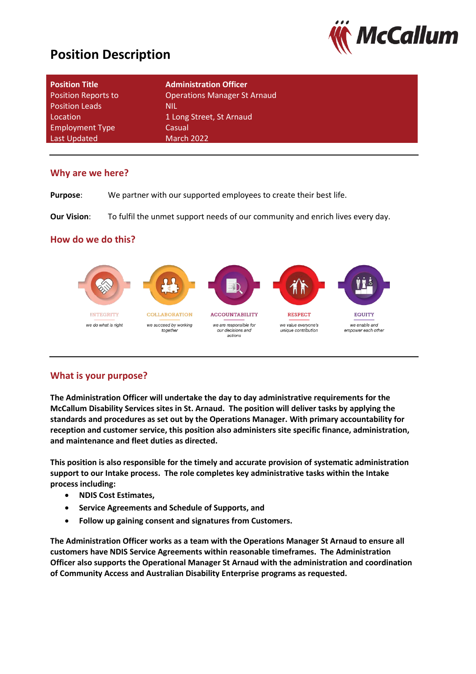# **Position Description**



| <b>Position Title</b><br><b>Position Reports to</b> | <b>Administration Officer</b><br><b>Operations Manager St Arnaud</b> |
|-----------------------------------------------------|----------------------------------------------------------------------|
| <b>Position Leads</b>                               | nil                                                                  |
| Location                                            | 1 Long Street, St Arnaud                                             |
| <b>Employment Type</b>                              | Casual                                                               |
| Last Updated                                        | <b>March 2022</b>                                                    |

#### **Why are we here?**

**Purpose**: We partner with our supported employees to create their best life.

**Our Vision:** To fulfil the unmet support needs of our community and enrich lives every day.

### **How do we do this?**



### **What is your purpose?**

**The Administration Officer will undertake the day to day administrative requirements for the McCallum Disability Services sites in St. Arnaud. The position will deliver tasks by applying the standards and procedures as set out by the Operations Manager. With primary accountability for reception and customer service, this position also administers site specific finance, administration, and maintenance and fleet duties as directed.** 

**This position is also responsible for the timely and accurate provision of systematic administration support to our Intake process. The role completes key administrative tasks within the Intake process including:**

- **NDIS Cost Estimates,**
- **Service Agreements and Schedule of Supports, and**
- **Follow up gaining consent and signatures from Customers.**

**The Administration Officer works as a team with the Operations Manager St Arnaud to ensure all customers have NDIS Service Agreements within reasonable timeframes. The Administration Officer also supports the Operational Manager St Arnaud with the administration and coordination of Community Access and Australian Disability Enterprise programs as requested.**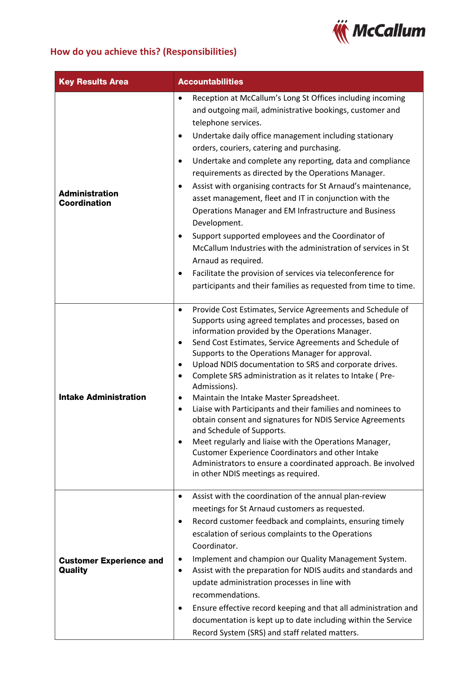

## **How do you achieve this? (Responsibilities)**

| <b>Key Results Area</b>                      | <b>Accountabilities</b>                                                                                                                                                                                                                                                                                                                                                                                                                                                                                                                                                                                                                                                                                                                                                                                                                                                                                                             |  |  |  |
|----------------------------------------------|-------------------------------------------------------------------------------------------------------------------------------------------------------------------------------------------------------------------------------------------------------------------------------------------------------------------------------------------------------------------------------------------------------------------------------------------------------------------------------------------------------------------------------------------------------------------------------------------------------------------------------------------------------------------------------------------------------------------------------------------------------------------------------------------------------------------------------------------------------------------------------------------------------------------------------------|--|--|--|
| <b>Administration</b><br><b>Coordination</b> | Reception at McCallum's Long St Offices including incoming<br>$\bullet$<br>and outgoing mail, administrative bookings, customer and<br>telephone services.<br>Undertake daily office management including stationary<br>$\bullet$<br>orders, couriers, catering and purchasing.<br>Undertake and complete any reporting, data and compliance<br>٠<br>requirements as directed by the Operations Manager.<br>Assist with organising contracts for St Arnaud's maintenance,<br>$\bullet$<br>asset management, fleet and IT in conjunction with the<br>Operations Manager and EM Infrastructure and Business<br>Development.<br>Support supported employees and the Coordinator of<br>$\bullet$<br>McCallum Industries with the administration of services in St<br>Arnaud as required.<br>Facilitate the provision of services via teleconference for<br>$\bullet$<br>participants and their families as requested from time to time. |  |  |  |
| <b>Intake Administration</b>                 | Provide Cost Estimates, Service Agreements and Schedule of<br>$\bullet$<br>Supports using agreed templates and processes, based on<br>information provided by the Operations Manager.<br>Send Cost Estimates, Service Agreements and Schedule of<br>$\bullet$<br>Supports to the Operations Manager for approval.<br>Upload NDIS documentation to SRS and corporate drives.<br>٠<br>Complete SRS administration as it relates to Intake (Pre-<br>٠<br>Admissions).<br>Maintain the Intake Master Spreadsheet.<br>٠<br>Liaise with Participants and their families and nominees to<br>$\bullet$<br>obtain consent and signatures for NDIS Service Agreements<br>and Schedule of Supports.<br>Meet regularly and liaise with the Operations Manager,<br><b>Customer Experience Coordinators and other Intake</b><br>Administrators to ensure a coordinated approach. Be involved<br>in other NDIS meetings as required.               |  |  |  |
| <b>Customer Experience and</b><br>Quality    | Assist with the coordination of the annual plan-review<br>$\bullet$<br>meetings for St Arnaud customers as requested.<br>Record customer feedback and complaints, ensuring timely<br>$\bullet$<br>escalation of serious complaints to the Operations<br>Coordinator.<br>Implement and champion our Quality Management System.<br>٠<br>Assist with the preparation for NDIS audits and standards and<br>٠<br>update administration processes in line with<br>recommendations.<br>Ensure effective record keeping and that all administration and<br>$\bullet$<br>documentation is kept up to date including within the Service<br>Record System (SRS) and staff related matters.                                                                                                                                                                                                                                                     |  |  |  |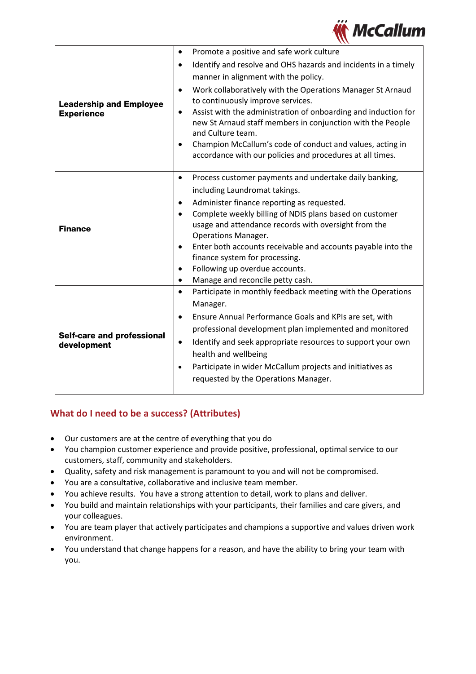

|                                                  | Promote a positive and safe work culture<br>$\bullet$                                                                               |
|--------------------------------------------------|-------------------------------------------------------------------------------------------------------------------------------------|
|                                                  | Identify and resolve and OHS hazards and incidents in a timely<br>$\bullet$                                                         |
|                                                  | manner in alignment with the policy.                                                                                                |
|                                                  | Work collaboratively with the Operations Manager St Arnaud<br>$\bullet$                                                             |
| <b>Leadership and Employee</b>                   | to continuously improve services.                                                                                                   |
| <b>Experience</b>                                | Assist with the administration of onboarding and induction for<br>$\bullet$                                                         |
|                                                  | new St Arnaud staff members in conjunction with the People                                                                          |
|                                                  | and Culture team.                                                                                                                   |
|                                                  | Champion McCallum's code of conduct and values, acting in<br>$\bullet$<br>accordance with our policies and procedures at all times. |
|                                                  |                                                                                                                                     |
|                                                  | Process customer payments and undertake daily banking,<br>$\bullet$                                                                 |
|                                                  | including Laundromat takings.                                                                                                       |
|                                                  | Administer finance reporting as requested.<br>$\bullet$                                                                             |
|                                                  | Complete weekly billing of NDIS plans based on customer<br>$\bullet$                                                                |
| <b>Finance</b>                                   | usage and attendance records with oversight from the                                                                                |
|                                                  | <b>Operations Manager.</b>                                                                                                          |
|                                                  | Enter both accounts receivable and accounts payable into the<br>$\bullet$                                                           |
|                                                  | finance system for processing.<br>Following up overdue accounts.<br>$\bullet$                                                       |
|                                                  | Manage and reconcile petty cash.<br>$\bullet$                                                                                       |
|                                                  | Participate in monthly feedback meeting with the Operations<br>$\bullet$                                                            |
|                                                  | Manager.                                                                                                                            |
|                                                  | Ensure Annual Performance Goals and KPIs are set, with<br>$\bullet$                                                                 |
|                                                  | professional development plan implemented and monitored                                                                             |
| <b>Self-care and professional</b><br>development | Identify and seek appropriate resources to support your own<br>$\bullet$                                                            |
|                                                  | health and wellbeing                                                                                                                |
|                                                  | Participate in wider McCallum projects and initiatives as<br>$\bullet$                                                              |
|                                                  | requested by the Operations Manager.                                                                                                |
|                                                  |                                                                                                                                     |

### **What do I need to be a success? (Attributes)**

- Our customers are at the centre of everything that you do
- You champion customer experience and provide positive, professional, optimal service to our customers, staff, community and stakeholders.
- Quality, safety and risk management is paramount to you and will not be compromised.
- You are a consultative, collaborative and inclusive team member.
- You achieve results. You have a strong attention to detail, work to plans and deliver.
- You build and maintain relationships with your participants, their families and care givers, and your colleagues.
- You are team player that actively participates and champions a supportive and values driven work environment.
- You understand that change happens for a reason, and have the ability to bring your team with you.